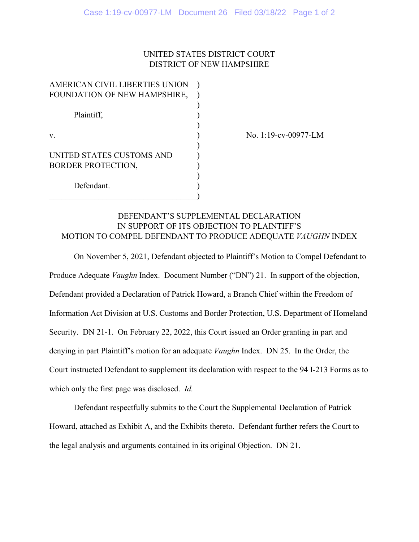# UNITED STATES DISTRICT COURT DISTRICT OF NEW HAMPSHIRE

| AMERICAN CIVIL LIBERTIES UNION |  |
|--------------------------------|--|
| FOUNDATION OF NEW HAMPSHIRE,   |  |
|                                |  |
| Plaintiff,                     |  |
|                                |  |
| V.                             |  |
|                                |  |
| UNITED STATES CUSTOMS AND      |  |
| <b>BORDER PROTECTION,</b>      |  |
|                                |  |
| Defendant.                     |  |
|                                |  |

No. 1:19-cv-00977-LM

# DEFENDANT'S SUPPLEMENTAL DECLARATION IN SUPPORT OF ITS OBJECTION TO PLAINTIFF'S MOTION TO COMPEL DEFENDANT TO PRODUCE ADEQUATE *VAUGHN* INDEX

On November 5, 2021, Defendant objected to Plaintiff's Motion to Compel Defendant to Produce Adequate *Vaughn* Index. Document Number ("DN") 21. In support of the objection, Defendant provided a Declaration of Patrick Howard, a Branch Chief within the Freedom of Information Act Division at U.S. Customs and Border Protection, U.S. Department of Homeland Security. DN 21-1. On February 22, 2022, this Court issued an Order granting in part and denying in part Plaintiff's motion for an adequate *Vaughn* Index. DN 25. In the Order, the Court instructed Defendant to supplement its declaration with respect to the 94 I-213 Forms as to which only the first page was disclosed. *Id.*

Defendant respectfully submits to the Court the Supplemental Declaration of Patrick Howard, attached as Exhibit A, and the Exhibits thereto. Defendant further refers the Court to the legal analysis and arguments contained in its original Objection. DN 21.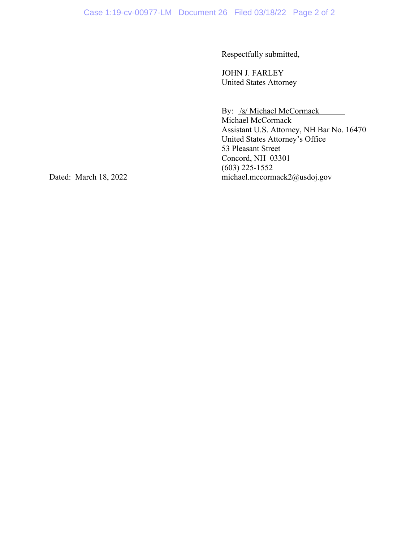Respectfully submitted,

JOHN J. FARLEY United States Attorney

By: /s/ Michael McCormack

Michael McCormack Assistant U.S. Attorney, NH Bar No. 16470 United States Attorney's Office 53 Pleasant Street Concord, NH 03301 (603) 225-1552 Dated: March 18, 2022 michael.mccormack2@usdoj.gov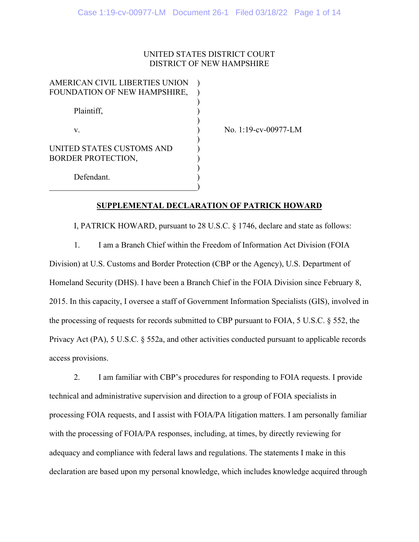## UNITED STATES DISTRICT COURT DISTRICT OF NEW HAMPSHIRE

| AMERICAN CIVIL LIBERTIES UNION |  |
|--------------------------------|--|
| FOUNDATION OF NEW HAMPSHIRE,   |  |
|                                |  |
| Plaintiff,                     |  |
|                                |  |
| V.                             |  |
|                                |  |
| UNITED STATES CUSTOMS AND      |  |
| <b>BORDER PROTECTION,</b>      |  |
|                                |  |
| Defendant.                     |  |
|                                |  |

No. 1:19-cv-00977-LM

## **SUPPLEMENTAL DECLARATION OF PATRICK HOWARD**

 I, PATRICK HOWARD, pursuant to 28 U.S.C. § 1746, declare and state as follows: 1. I am a Branch Chief within the Freedom of Information Act Division (FOIA Division) at U.S. Customs and Border Protection (CBP or the Agency), U.S. Department of Homeland Security (DHS). I have been a Branch Chief in the FOIA Division since February 8, 2015. In this capacity, I oversee a staff of Government Information Specialists (GIS), involved in the processing of requests for records submitted to CBP pursuant to FOIA, 5 U.S.C. § 552, the Privacy Act (PA), 5 U.S.C. § 552a, and other activities conducted pursuant to applicable records access provisions.

 2. I am familiar with CBP's procedures for responding to FOIA requests. I provide technical and administrative supervision and direction to a group of FOIA specialists in processing FOIA requests, and I assist with FOIA/PA litigation matters. I am personally familiar with the processing of FOIA/PA responses, including, at times, by directly reviewing for adequacy and compliance with federal laws and regulations. The statements I make in this declaration are based upon my personal knowledge, which includes knowledge acquired through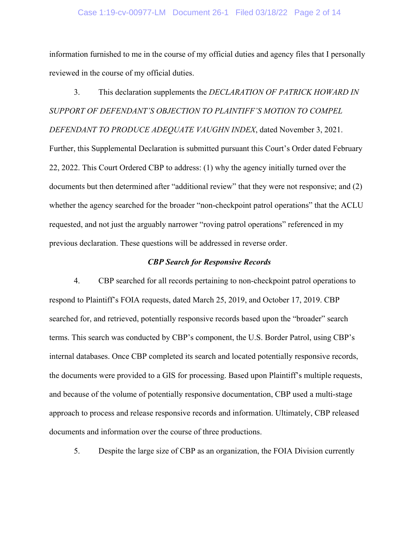#### Case 1:19-cv-00977-LM Document 26-1 Filed 03/18/22 Page 2 of 14

information furnished to me in the course of my official duties and agency files that I personally reviewed in the course of my official duties.

3. This declaration supplements the *DECLARATION OF PATRICK HOWARD IN SUPPORT OF DEFENDANT'S OBJECTION TO PLAINTIFF'S MOTION TO COMPEL DEFENDANT TO PRODUCE ADEQUATE VAUGHN INDEX*, dated November 3, 2021. Further, this Supplemental Declaration is submitted pursuant this Court's Order dated February 22, 2022. This Court Ordered CBP to address: (1) why the agency initially turned over the documents but then determined after "additional review" that they were not responsive; and (2) whether the agency searched for the broader "non-checkpoint patrol operations" that the ACLU requested, and not just the arguably narrower "roving patrol operations" referenced in my previous declaration. These questions will be addressed in reverse order.

### *CBP Search for Responsive Records*

4. CBP searched for all records pertaining to non-checkpoint patrol operations to respond to Plaintiff's FOIA requests, dated March 25, 2019, and October 17, 2019. CBP searched for, and retrieved, potentially responsive records based upon the "broader" search terms. This search was conducted by CBP's component, the U.S. Border Patrol, using CBP's internal databases. Once CBP completed its search and located potentially responsive records, the documents were provided to a GIS for processing. Based upon Plaintiff's multiple requests, and because of the volume of potentially responsive documentation, CBP used a multi-stage approach to process and release responsive records and information. Ultimately, CBP released documents and information over the course of three productions.

5. Despite the large size of CBP as an organization, the FOIA Division currently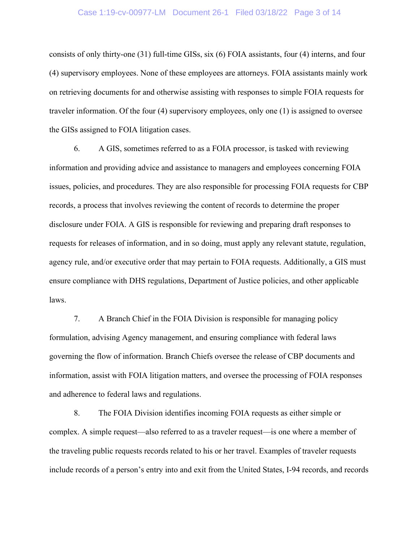#### Case 1:19-cv-00977-LM Document 26-1 Filed 03/18/22 Page 3 of 14

consists of only thirty-one (31) full-time GISs, six (6) FOIA assistants, four (4) interns, and four (4) supervisory employees. None of these employees are attorneys. FOIA assistants mainly work on retrieving documents for and otherwise assisting with responses to simple FOIA requests for traveler information. Of the four (4) supervisory employees, only one (1) is assigned to oversee the GISs assigned to FOIA litigation cases.

6. A GIS, sometimes referred to as a FOIA processor, is tasked with reviewing information and providing advice and assistance to managers and employees concerning FOIA issues, policies, and procedures. They are also responsible for processing FOIA requests for CBP records, a process that involves reviewing the content of records to determine the proper disclosure under FOIA. A GIS is responsible for reviewing and preparing draft responses to requests for releases of information, and in so doing, must apply any relevant statute, regulation, agency rule, and/or executive order that may pertain to FOIA requests. Additionally, a GIS must ensure compliance with DHS regulations, Department of Justice policies, and other applicable laws.

7. A Branch Chief in the FOIA Division is responsible for managing policy formulation, advising Agency management, and ensuring compliance with federal laws governing the flow of information. Branch Chiefs oversee the release of CBP documents and information, assist with FOIA litigation matters, and oversee the processing of FOIA responses and adherence to federal laws and regulations.

8. The FOIA Division identifies incoming FOIA requests as either simple or complex. A simple request—also referred to as a traveler request—is one where a member of the traveling public requests records related to his or her travel. Examples of traveler requests include records of a person's entry into and exit from the United States, I-94 records, and records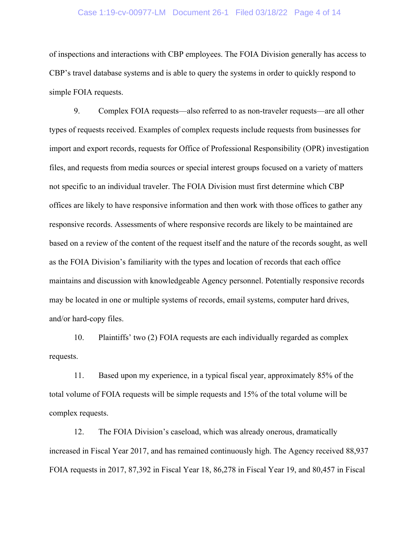#### Case 1:19-cv-00977-LM Document 26-1 Filed 03/18/22 Page 4 of 14

of inspections and interactions with CBP employees. The FOIA Division generally has access to CBP's travel database systems and is able to query the systems in order to quickly respond to simple FOIA requests.

9. Complex FOIA requests—also referred to as non-traveler requests—are all other types of requests received. Examples of complex requests include requests from businesses for import and export records, requests for Office of Professional Responsibility (OPR) investigation files, and requests from media sources or special interest groups focused on a variety of matters not specific to an individual traveler. The FOIA Division must first determine which CBP offices are likely to have responsive information and then work with those offices to gather any responsive records. Assessments of where responsive records are likely to be maintained are based on a review of the content of the request itself and the nature of the records sought, as well as the FOIA Division's familiarity with the types and location of records that each office maintains and discussion with knowledgeable Agency personnel. Potentially responsive records may be located in one or multiple systems of records, email systems, computer hard drives, and/or hard-copy files.

10. Plaintiffs' two (2) FOIA requests are each individually regarded as complex requests.

11. Based upon my experience, in a typical fiscal year, approximately 85% of the total volume of FOIA requests will be simple requests and 15% of the total volume will be complex requests.

12. The FOIA Division's caseload, which was already onerous, dramatically increased in Fiscal Year 2017, and has remained continuously high. The Agency received 88,937 FOIA requests in 2017, 87,392 in Fiscal Year 18, 86,278 in Fiscal Year 19, and 80,457 in Fiscal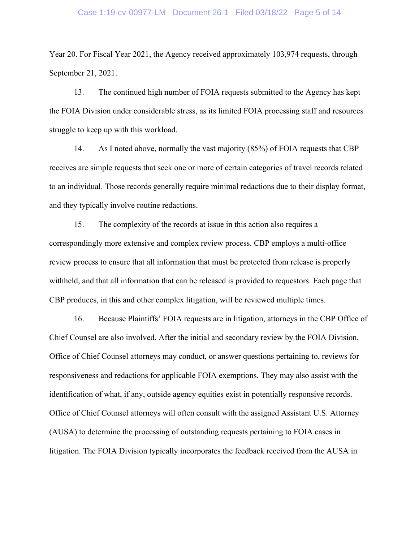#### Case 1:19-cv-00977-LM Document 26-1 Filed 03/18/22 Page 5 of 14

Year 20. For Fiscal Year 2021, the Agency received approximately 103,974 requests, through September 21, 2021.

13. The continued high number of FOIA requests submitted to the Agency has kept the FOIA Division under considerable stress, as its limited FOIA processing staff and resources struggle to keep up with this workload.

14. As I noted above, normally the vast majority (85%) of FOIA requests that CBP receives are simple requests that seek one or more of certain categories of travel records related to an individual. Those records generally require minimal redactions due to their display format, and they typically involve routine redactions.

15. The complexity of the records at issue in this action also requires a correspondingly more extensive and complex review process. CBP employs a multi-office review process to ensure that all information that must be protected from release is properly withheld, and that all information that can be released is provided to requestors. Each page that CBP produces, in this and other complex litigation, will be reviewed multiple times.

16. Because Plaintiffs' FOIA requests are in litigation, attorneys in the CBP Office of Chief Counsel are also involved. After the initial and secondary review by the FOIA Division, Office of Chief Counsel attorneys may conduct, or answer questions pertaining to, reviews for responsiveness and redactions for applicable FOIA exemptions. They may also assist with the identification of what, if any, outside agency equities exist in potentially responsive records. Office of Chief Counsel attorneys will often consult with the assigned Assistant U.S. Attorney (AUSA) to determine the processing of outstanding requests pertaining to FOIA cases in litigation. The FOIA Division typically incorporates the feedback received from the AUSA in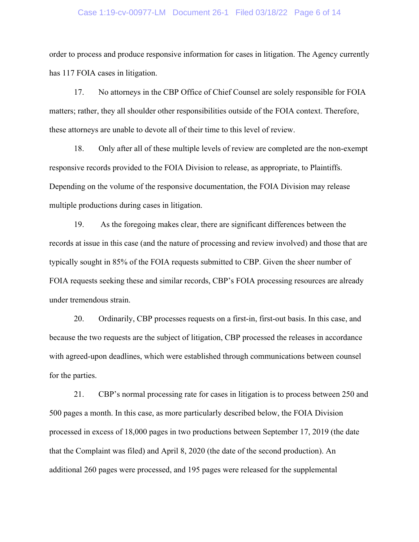#### Case 1:19-cv-00977-LM Document 26-1 Filed 03/18/22 Page 6 of 14

order to process and produce responsive information for cases in litigation. The Agency currently has 117 FOIA cases in litigation.

17. No attorneys in the CBP Office of Chief Counsel are solely responsible for FOIA matters; rather, they all shoulder other responsibilities outside of the FOIA context. Therefore, these attorneys are unable to devote all of their time to this level of review.

18. Only after all of these multiple levels of review are completed are the non-exempt responsive records provided to the FOIA Division to release, as appropriate, to Plaintiffs. Depending on the volume of the responsive documentation, the FOIA Division may release multiple productions during cases in litigation.

19. As the foregoing makes clear, there are significant differences between the records at issue in this case (and the nature of processing and review involved) and those that are typically sought in 85% of the FOIA requests submitted to CBP. Given the sheer number of FOIA requests seeking these and similar records, CBP's FOIA processing resources are already under tremendous strain.

20. Ordinarily, CBP processes requests on a first-in, first-out basis. In this case, and because the two requests are the subject of litigation, CBP processed the releases in accordance with agreed-upon deadlines, which were established through communications between counsel for the parties.

21. CBP's normal processing rate for cases in litigation is to process between 250 and 500 pages a month. In this case, as more particularly described below, the FOIA Division processed in excess of 18,000 pages in two productions between September 17, 2019 (the date that the Complaint was filed) and April 8, 2020 (the date of the second production). An additional 260 pages were processed, and 195 pages were released for the supplemental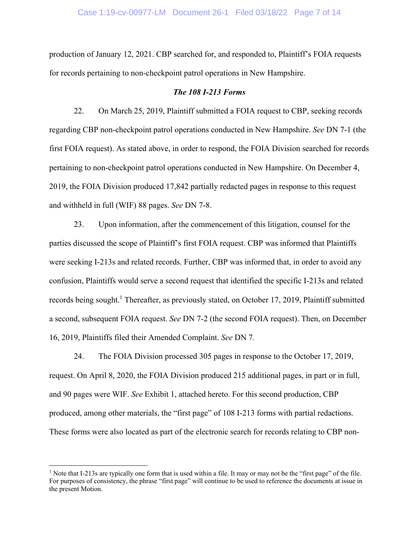production of January 12, 2021. CBP searched for, and responded to, Plaintiff's FOIA requests for records pertaining to non-checkpoint patrol operations in New Hampshire.

#### *The 108 I-213 Forms*

22. On March 25, 2019, Plaintiff submitted a FOIA request to CBP, seeking records regarding CBP non-checkpoint patrol operations conducted in New Hampshire. *See* DN 7-1 (the first FOIA request). As stated above, in order to respond, the FOIA Division searched for records pertaining to non-checkpoint patrol operations conducted in New Hampshire. On December 4, 2019, the FOIA Division produced 17,842 partially redacted pages in response to this request and withheld in full (WIF) 88 pages. *See* DN 7-8.

23. Upon information, after the commencement of this litigation, counsel for the parties discussed the scope of Plaintiff's first FOIA request. CBP was informed that Plaintiffs were seeking I-213s and related records. Further, CBP was informed that, in order to avoid any confusion, Plaintiffs would serve a second request that identified the specific I-213s and related records being sought.<sup>1</sup> Thereafter, as previously stated, on October 17, 2019, Plaintiff submitted a second, subsequent FOIA request. *See* DN 7-2 (the second FOIA request). Then, on December 16, 2019, Plaintiffs filed their Amended Complaint. *See* DN 7.

24. The FOIA Division processed 305 pages in response to the October 17, 2019, request. On April 8, 2020, the FOIA Division produced 215 additional pages, in part or in full, and 90 pages were WIF. *See* Exhibit 1, attached hereto. For this second production, CBP produced, among other materials, the "first page" of 108 I-213 forms with partial redactions. These forms were also located as part of the electronic search for records relating to CBP non-

<sup>&</sup>lt;sup>1</sup> Note that I-213s are typically one form that is used within a file. It may or may not be the "first page" of the file. For purposes of consistency, the phrase "first page" will continue to be used to reference the documents at issue in the present Motion.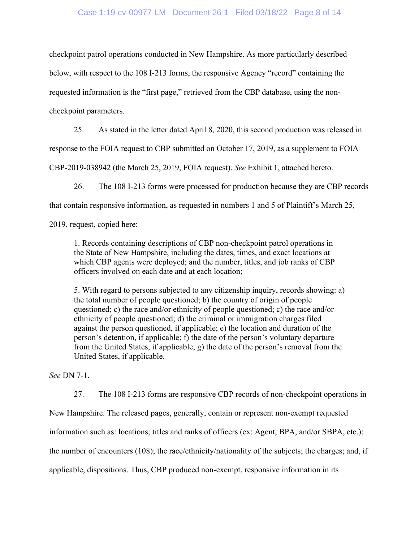### Case 1:19-cv-00977-LM Document 26-1 Filed 03/18/22 Page 8 of 14

checkpoint patrol operations conducted in New Hampshire. As more particularly described below, with respect to the 108 I-213 forms, the responsive Agency "record" containing the requested information is the "first page," retrieved from the CBP database, using the noncheckpoint parameters.

25. As stated in the letter dated April 8, 2020, this second production was released in

response to the FOIA request to CBP submitted on October 17, 2019, as a supplement to FOIA

CBP-2019-038942 (the March 25, 2019, FOIA request). *See* Exhibit 1, attached hereto.

26. The 108 I-213 forms were processed for production because they are CBP records

that contain responsive information, as requested in numbers 1 and 5 of Plaintiff's March 25,

2019, request, copied here:

1. Records containing descriptions of CBP non-checkpoint patrol operations in the State of New Hampshire, including the dates, times, and exact locations at which CBP agents were deployed; and the number, titles, and job ranks of CBP officers involved on each date and at each location;

5. With regard to persons subjected to any citizenship inquiry, records showing: a) the total number of people questioned; b) the country of origin of people questioned; c) the race and/or ethnicity of people questioned; c) the race and/or ethnicity of people questioned; d) the criminal or immigration charges filed against the person questioned, if applicable; e) the location and duration of the person's detention, if applicable; f) the date of the person's voluntary departure from the United States, if applicable; g) the date of the person's removal from the United States, if applicable.

*See* DN 7-1.

 27. The 108 I-213 forms are responsive CBP records of non-checkpoint operations in New Hampshire. The released pages, generally, contain or represent non-exempt requested information such as: locations; titles and ranks of officers (ex: Agent, BPA, and/or SBPA, etc.); the number of encounters (108); the race/ethnicity/nationality of the subjects; the charges; and, if applicable, dispositions. Thus, CBP produced non-exempt, responsive information in its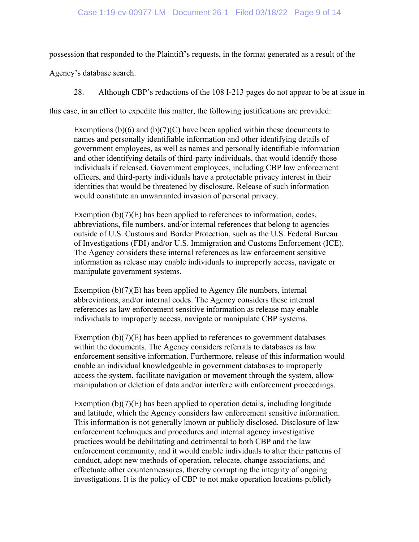possession that responded to the Plaintiff's requests, in the format generated as a result of the

Agency's database search.

28. Although CBP's redactions of the 108 I-213 pages do not appear to be at issue in

this case, in an effort to expedite this matter, the following justifications are provided:

Exemptions  $(b)(6)$  and  $(b)(7)(C)$  have been applied within these documents to names and personally identifiable information and other identifying details of government employees, as well as names and personally identifiable information and other identifying details of third-party individuals, that would identify those individuals if released. Government employees, including CBP law enforcement officers, and third-party individuals have a protectable privacy interest in their identities that would be threatened by disclosure. Release of such information would constitute an unwarranted invasion of personal privacy.

Exemption (b)(7)(E) has been applied to references to information, codes, abbreviations, file numbers, and/or internal references that belong to agencies outside of U.S. Customs and Border Protection, such as the U.S. Federal Bureau of Investigations (FBI) and/or U.S. Immigration and Customs Enforcement (ICE). The Agency considers these internal references as law enforcement sensitive information as release may enable individuals to improperly access, navigate or manipulate government systems.

Exemption (b)(7)(E) has been applied to Agency file numbers, internal abbreviations, and/or internal codes. The Agency considers these internal references as law enforcement sensitive information as release may enable individuals to improperly access, navigate or manipulate CBP systems.

Exemption  $(b)(7)(E)$  has been applied to references to government databases within the documents. The Agency considers referrals to databases as law enforcement sensitive information. Furthermore, release of this information would enable an individual knowledgeable in government databases to improperly access the system, facilitate navigation or movement through the system, allow manipulation or deletion of data and/or interfere with enforcement proceedings.

Exemption (b)(7)(E) has been applied to operation details, including longitude and latitude, which the Agency considers law enforcement sensitive information. This information is not generally known or publicly disclosed. Disclosure of law enforcement techniques and procedures and internal agency investigative practices would be debilitating and detrimental to both CBP and the law enforcement community, and it would enable individuals to alter their patterns of conduct, adopt new methods of operation, relocate, change associations, and effectuate other countermeasures, thereby corrupting the integrity of ongoing investigations. It is the policy of CBP to not make operation locations publicly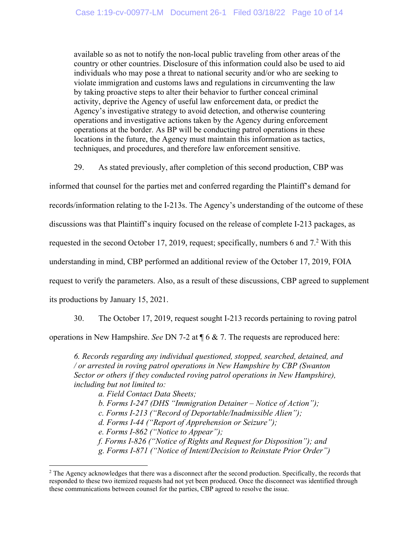available so as not to notify the non-local public traveling from other areas of the country or other countries. Disclosure of this information could also be used to aid individuals who may pose a threat to national security and/or who are seeking to violate immigration and customs laws and regulations in circumventing the law by taking proactive steps to alter their behavior to further conceal criminal activity, deprive the Agency of useful law enforcement data, or predict the Agency's investigative strategy to avoid detection, and otherwise countering operations and investigative actions taken by the Agency during enforcement operations at the border. As BP will be conducting patrol operations in these locations in the future, the Agency must maintain this information as tactics, techniques, and procedures, and therefore law enforcement sensitive.

29. As stated previously, after completion of this second production, CBP was

informed that counsel for the parties met and conferred regarding the Plaintiff's demand for

records/information relating to the I-213s. The Agency's understanding of the outcome of these

discussions was that Plaintiff's inquiry focused on the release of complete I-213 packages, as

requested in the second October 17, 2019, request; specifically, numbers 6 and  $7<sup>2</sup>$  With this

understanding in mind, CBP performed an additional review of the October 17, 2019, FOIA

request to verify the parameters. Also, as a result of these discussions, CBP agreed to supplement

its productions by January 15, 2021.

30. The October 17, 2019, request sought I-213 records pertaining to roving patrol

operations in New Hampshire. *See* DN 7-2 at ¶ 6 & 7. The requests are reproduced here:

*6. Records regarding any individual questioned, stopped, searched, detained, and / or arrested in roving patrol operations in New Hampshire by CBP (Swanton Sector or others if they conducted roving patrol operations in New Hampshire), including but not limited to:* 

*a. Field Contact Data Sheets;* 

*b. Forms I-247 (DHS "Immigration Detainer – Notice of Action");* 

*c. Forms I-213 ("Record of Deportable/Inadmissible Alien");* 

*d. Forms I-44 ("Report of Apprehension or Seizure");* 

*e. Forms I-862 ("Notice to Appear");* 

*f. Forms I-826 ("Notice of Rights and Request for Disposition"); and* 

*g. Forms I-871 ("Notice of Intent/Decision to Reinstate Prior Order")* 

<sup>&</sup>lt;sup>2</sup> The Agency acknowledges that there was a disconnect after the second production. Specifically, the records that responded to these two itemized requests had not yet been produced. Once the disconnect was identified through these communications between counsel for the parties, CBP agreed to resolve the issue.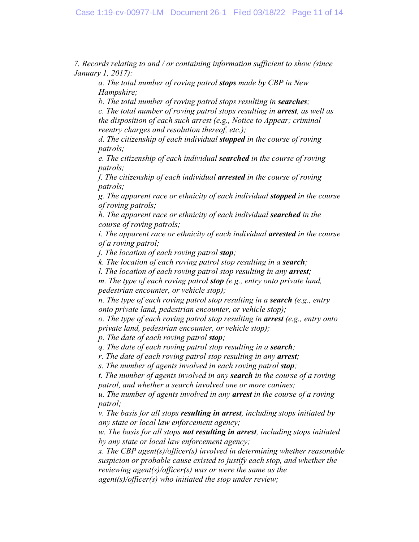*7. Records relating to and / or containing information sufficient to show (since January 1, 2017):* 

*a. The total number of roving patrol stops made by CBP in New Hampshire;* 

*b. The total number of roving patrol stops resulting in searches;* 

*c. The total number of roving patrol stops resulting in arrest, as well as the disposition of each such arrest (e.g., Notice to Appear; criminal reentry charges and resolution thereof, etc.);* 

*d. The citizenship of each individual stopped in the course of roving patrols;* 

*e. The citizenship of each individual searched in the course of roving patrols;* 

*f. The citizenship of each individual arrested in the course of roving patrols;* 

*g. The apparent race or ethnicity of each individual stopped in the course of roving patrols;* 

*h. The apparent race or ethnicity of each individual searched in the course of roving patrols;* 

*i. The apparent race or ethnicity of each individual arrested in the course of a roving patrol;* 

*j. The location of each roving patrol stop;* 

*k. The location of each roving patrol stop resulting in a search;* 

*l. The location of each roving patrol stop resulting in any arrest;* 

*m. The type of each roving patrol stop (e.g., entry onto private land, pedestrian encounter, or vehicle stop);* 

*n. The type of each roving patrol stop resulting in a <i>search* (e.g., entry *onto private land, pedestrian encounter, or vehicle stop);* 

*o. The type of each roving patrol stop resulting in arrest (e.g., entry onto private land, pedestrian encounter, or vehicle stop);* 

*p. The date of each roving patrol stop;* 

*q. The date of each roving patrol stop resulting in a search;* 

*r. The date of each roving patrol stop resulting in any arrest;* 

*s. The number of agents involved in each roving patrol stop;* 

*t. The number of agents involved in any search in the course of a roving patrol, and whether a search involved one or more canines;* 

*u. The number of agents involved in any arrest in the course of a roving patrol;* 

*v. The basis for all stops resulting in arrest, including stops initiated by any state or local law enforcement agency;* 

*w. The basis for all stops not resulting in arrest, including stops initiated by any state or local law enforcement agency;* 

*x. The CBP agent(s)/officer(s) involved in determining whether reasonable suspicion or probable cause existed to justify each stop, and whether the reviewing agent(s)/officer(s) was or were the same as the* 

*agent(s)/officer(s) who initiated the stop under review;*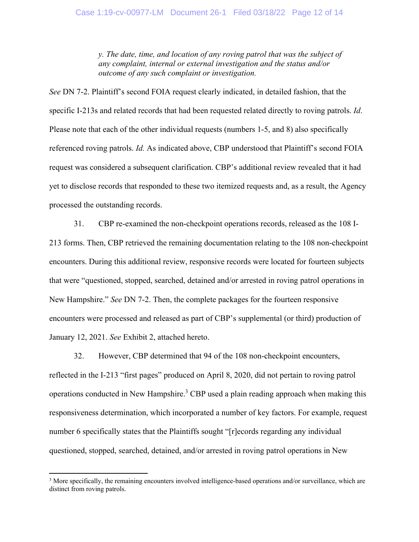*y. The date, time, and location of any roving patrol that was the subject of any complaint, internal or external investigation and the status and/or outcome of any such complaint or investigation.* 

*See* DN 7-2. Plaintiff's second FOIA request clearly indicated, in detailed fashion, that the specific I-213s and related records that had been requested related directly to roving patrols. *Id*. Please note that each of the other individual requests (numbers 1-5, and 8) also specifically referenced roving patrols. *Id.* As indicated above, CBP understood that Plaintiff's second FOIA request was considered a subsequent clarification. CBP's additional review revealed that it had yet to disclose records that responded to these two itemized requests and, as a result, the Agency processed the outstanding records.

31. CBP re-examined the non-checkpoint operations records, released as the 108 I-213 forms. Then, CBP retrieved the remaining documentation relating to the 108 non-checkpoint encounters. During this additional review, responsive records were located for fourteen subjects that were "questioned, stopped, searched, detained and/or arrested in roving patrol operations in New Hampshire." *See* DN 7-2. Then, the complete packages for the fourteen responsive encounters were processed and released as part of CBP's supplemental (or third) production of January 12, 2021. *See* Exhibit 2, attached hereto.

32. However, CBP determined that 94 of the 108 non-checkpoint encounters, reflected in the I-213 "first pages" produced on April 8, 2020, did not pertain to roving patrol operations conducted in New Hampshire.<sup>3</sup> CBP used a plain reading approach when making this responsiveness determination, which incorporated a number of key factors. For example, request number 6 specifically states that the Plaintiffs sought "[r]ecords regarding any individual questioned, stopped, searched, detained, and/or arrested in roving patrol operations in New

<sup>&</sup>lt;sup>3</sup> More specifically, the remaining encounters involved intelligence-based operations and/or surveillance, which are distinct from roving patrols.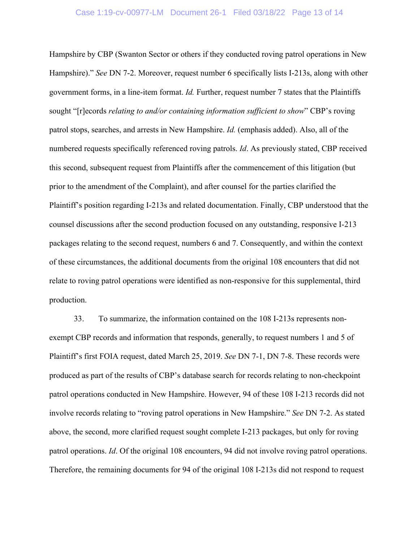### Case 1:19-cv-00977-LM Document 26-1 Filed 03/18/22 Page 13 of 14

Hampshire by CBP (Swanton Sector or others if they conducted roving patrol operations in New Hampshire)." *See* DN 7-2. Moreover, request number 6 specifically lists I-213s, along with other government forms, in a line-item format. *Id.* Further, request number 7 states that the Plaintiffs sought "[r]ecords *relating to and/or containing information sufficient to show*" CBP's roving patrol stops, searches, and arrests in New Hampshire. *Id.* (emphasis added). Also, all of the numbered requests specifically referenced roving patrols. *Id*. As previously stated, CBP received this second, subsequent request from Plaintiffs after the commencement of this litigation (but prior to the amendment of the Complaint), and after counsel for the parties clarified the Plaintiff's position regarding I-213s and related documentation. Finally, CBP understood that the counsel discussions after the second production focused on any outstanding, responsive I-213 packages relating to the second request, numbers 6 and 7. Consequently, and within the context of these circumstances, the additional documents from the original 108 encounters that did not relate to roving patrol operations were identified as non-responsive for this supplemental, third production.

33. To summarize, the information contained on the 108 I-213s represents nonexempt CBP records and information that responds, generally, to request numbers 1 and 5 of Plaintiff's first FOIA request, dated March 25, 2019. *See* DN 7-1, DN 7-8. These records were produced as part of the results of CBP's database search for records relating to non-checkpoint patrol operations conducted in New Hampshire. However, 94 of these 108 I-213 records did not involve records relating to "roving patrol operations in New Hampshire." *See* DN 7-2. As stated above, the second, more clarified request sought complete I-213 packages, but only for roving patrol operations. *Id*. Of the original 108 encounters, 94 did not involve roving patrol operations. Therefore, the remaining documents for 94 of the original 108 I-213s did not respond to request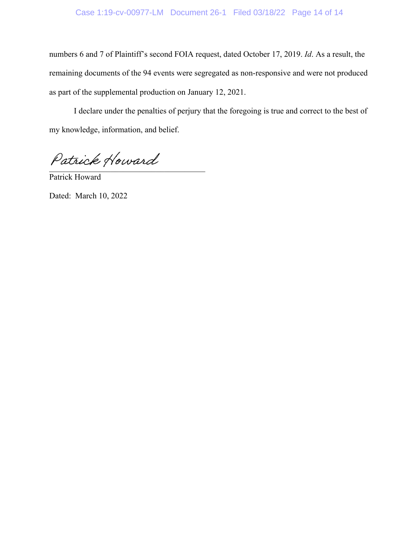# Case 1:19-cv-00977-LM Document 26-1 Filed 03/18/22 Page 14 of 14

numbers 6 and 7 of Plaintiff's second FOIA request, dated October 17, 2019. *Id*. As a result, the remaining documents of the 94 events were segregated as non-responsive and were not produced as part of the supplemental production on January 12, 2021.

 I declare under the penalties of perjury that the foregoing is true and correct to the best of my knowledge, information, and belief.

Patrick Howard

Patrick Howard

Dated: March 10, 2022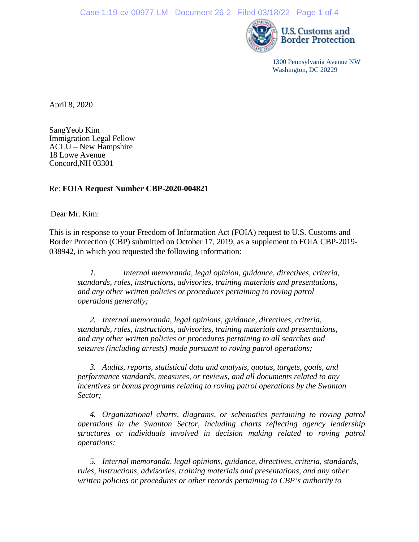

1300 Pennsylvania Avenue NW Washington, DC 20229

April 8, 2020

SangYeob Kim Immigration Legal Fellow ACLU – New Hampshire 18 Lowe Avenue Concord,NH 03301

### Re: **FOIA Request Number CBP-2020-004821**

Dear Mr. Kim:

This is in response to your Freedom of Information Act (FOIA) request to U.S. Customs and Border Protection (CBP) submitted on October 17, 2019, as a supplement to FOIA CBP-2019- 038942, in which you requested the following information:

*1. Internal memoranda, legal opinion, guidance, directives, criteria, standards, rules, instructions, advisories, training materials and presentations, and any other written policies or procedures pertaining to roving patrol operations generally;*

*2. Internal memoranda, legal opinions, guidance, directives, criteria, standards, rules, instructions, advisories, training materials and presentations, and any other written policies or procedures pertaining to all searches and seizures (including arrests) made pursuant to roving patrol operations;*

*3. Audits, reports, statistical data and analysis, quotas, targets, goals, and performance standards, measures, or reviews, and all documents related to any incentives or bonus programs relating to roving patrol operations by the Swanton Sector;*

*4. Organizational charts, diagrams, or schematics pertaining to roving patrol operations in the Swanton Sector, including charts reflecting agency leadership structures or individuals involved in decision making related to roving patrol operations;*

*5. Internal memoranda, legal opinions, guidance, directives, criteria, standards, rules, instructions, advisories, training materials and presentations, and any other written policies or procedures or other records pertaining to CBP's authority to*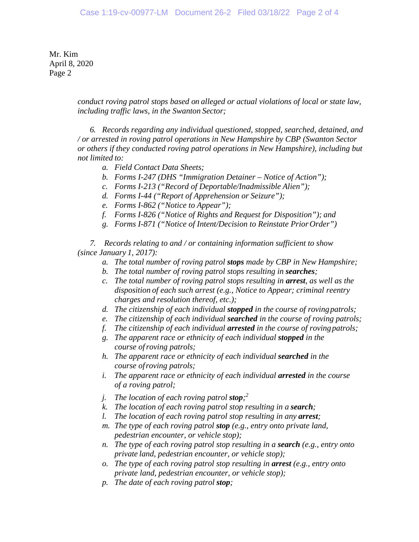Mr. Kim April 8, 2020 Page 2

> *conduct roving patrol stops based on alleged or actual violations of local or state law, including traffic laws, in the Swanton Sector;*

> *6. Records regarding any individual questioned, stopped, searched, detained, and / or arrested in roving patrol operations in New Hampshire by CBP (Swanton Sector or others if they conducted roving patrol operations in New Hampshire), including but not limited to:*

- *a. Field Contact Data Sheets;*
- *b. Forms I-247 (DHS "Immigration Detainer – Notice of Action");*
- *c. Forms I-213 ("Record of Deportable/Inadmissible Alien");*
- *d. Forms I-44 ("Report of Apprehension or Seizure");*
- *e. Forms I-862 ("Notice to Appear");*
- *f. Forms I-826 ("Notice of Rights and Request for Disposition"); and*
- *g. Forms I-871 ("Notice of Intent/Decision to Reinstate PriorOrder")*

*7. Records relating to and / or containing information sufficient to show (since January 1, 2017):*

- *a. The total number of roving patrol stops made by CBP in New Hampshire;*
- *b. The total number of roving patrol stops resulting in searches;*
- *c. The total number of roving patrol stops resulting in arrest, as well as the disposition of each such arrest (e.g., Notice to Appear; criminal reentry charges and resolution thereof, etc.);*
- *d. The citizenship of each individual stopped in the course of rovingpatrols;*
- *e. The citizenship of each individual searched in the course of roving patrols;*
- *f. The citizenship of each individual arrested in the course of rovingpatrols;*
- *g. The apparent race or ethnicity of each individual stopped in the course ofroving patrols;*
- *h. The apparent race or ethnicity of each individual searched in the course ofroving patrols;*
- *i. The apparent race or ethnicity of each individual arrested in the course of a roving patrol;*
- *j. The location of each roving patrol stop; 2*
- *k. The location of each roving patrol stop resulting in a search;*
- *l. The location of each roving patrol stop resulting in any arrest;*
- *m. The type of each roving patrol stop (e.g., entry onto private land, pedestrian encounter, or vehicle stop);*
- *n.* The type of each roving patrol stop resulting in a **search** (e.g., entry onto *private land, pedestrian encounter, or vehicle stop);*
- *o. The type of each roving patrol stop resulting in arrest (e.g., entry onto private land, pedestrian encounter, or vehicle stop);*
- *p. The date of each roving patrol stop;*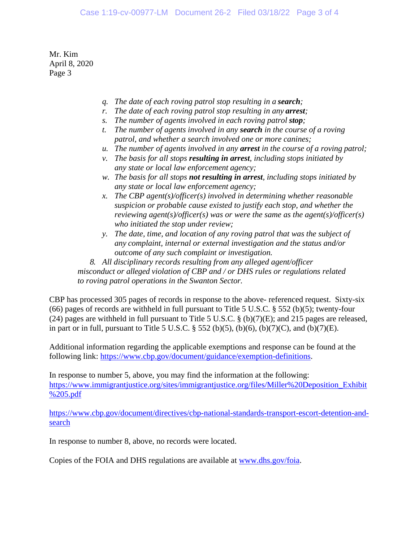Mr. Kim April 8, 2020 Page 3

- *q. The date of each roving patrol stop resulting in a search;*
- *r. The date of each roving patrol stop resulting in any arrest;*
- *s. The number of agents involved in each roving patrol stop;*
- *t. The number of agents involved in any search in the course of a roving patrol, and whether a search involved one or more canines;*
- *u. The number of agents involved in any arrest in the course of a roving patrol;*
- *v. The basis for all stops resulting in arrest, including stops initiated by any state or local law enforcement agency;*
- *w. The basis for all stops not resulting in arrest, including stops initiated by any state or local law enforcement agency;*
- *x. The CBP agent(s)/officer(s) involved in determining whether reasonable suspicion or probable cause existed to justify each stop, and whether the reviewing agent(s)/officer(s) was or were the same as the agent(s)/officer(s) who initiated the stop under review;*
- *y. The date, time, and location of any roving patrol that was the subject of any complaint, internal or external investigation and the status and/or outcome of any such complaint or investigation.*

*8. All disciplinary records resulting from any alleged agent/officer misconduct or alleged violation of CBP and / or DHS rules or regulations related to roving patrol operations in the Swanton Sector.*

CBP has processed 305 pages of records in response to the above- referenced request. Sixty-six (66) pages of records are withheld in full pursuant to Title 5 U.S.C. § 552 (b)(5); twenty-four (24) pages are withheld in full pursuant to Title 5 U.S.C. § (b)(7)(E); and 215 pages are released, in part or in full, pursuant to Title 5 U.S.C.  $\S$  552 (b)(5), (b)(6), (b)(7)(C), and (b)(7)(E).

Additional information regarding the applicable exemptions and response can be found at the following link: [https://www.cbp.gov/document/guidance/exemption-definitions.](https://www.cbp.gov/document/guidance/exemption-definitions)

In response to number 5, above, you may find the information at the following: [https://www.immigrantjustice.org/sites/immigrantjustice.org/files/Miller%20Deposition\\_Exhibit](https://www.immigrantjustice.org/sites/immigrantjustice.org/files/Miller%20Deposition_Exhibit%205.pdf) [%205.pdf](https://www.immigrantjustice.org/sites/immigrantjustice.org/files/Miller%20Deposition_Exhibit%205.pdf)

[https://www.cbp.gov/document/directives/cbp-national-standards-transport-escort-detention-and](https://www.cbp.gov/document/directives/cbp-national-standards-transport-escort-detention-and-search)[search](https://www.cbp.gov/document/directives/cbp-national-standards-transport-escort-detention-and-search)

In response to number 8, above, no records were located.

Copies of the FOIA and DHS regulations are available at [www.dhs.gov/foia.](http://www.dhs.gov/foia)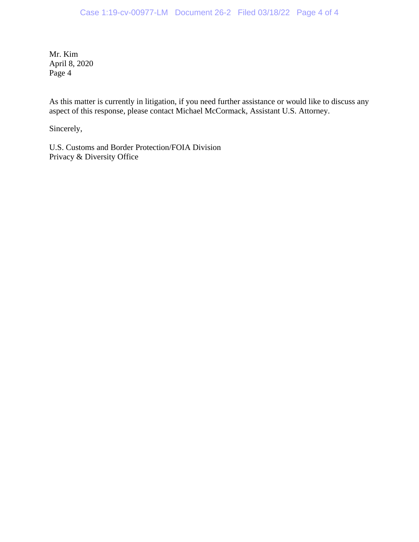Mr. Kim April 8, 2020 Page 4

As this matter is currently in litigation, if you need further assistance or would like to discuss any aspect of this response, please contact Michael McCormack, Assistant U.S. Attorney.

Sincerely,

U.S. Customs and Border Protection/FOIA Division Privacy & Diversity Office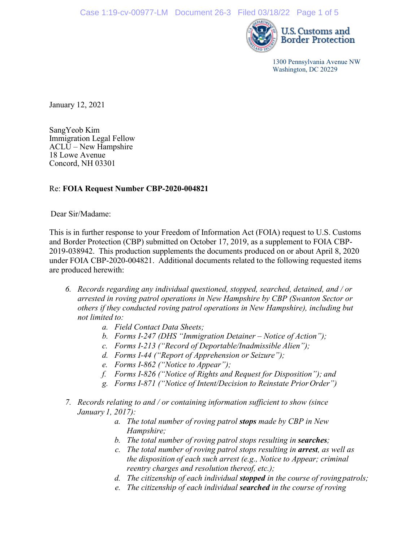

1300 Pennsylvania Avenue NW Washington, DC 20229

January 12, 2021

SangYeob Kim Immigration Legal Fellow ACLU – New Hampshire 18 Lowe Avenue Concord, NH 03301

## Re: **FOIA Request Number CBP-2020-004821**

Dear Sir/Madame:

This is in further response to your Freedom of Information Act (FOIA) request to U.S. Customs and Border Protection (CBP) submitted on October 17, 2019, as a supplement to FOIA CBP-2019-038942. This production supplements the documents produced on or about April 8, 2020 under FOIA CBP-2020-004821. Additional documents related to the following requested items are produced herewith:

- *6. Records regarding any individual questioned, stopped, searched, detained, and / or arrested in roving patrol operations in New Hampshire by CBP (Swanton Sector or others if they conducted roving patrol operations in New Hampshire), including but not limited to:*
	- *a. Field Contact Data Sheets;*
	- *b. Forms I-247 (DHS "Immigration Detainer – Notice of Action");*
	- *c. Forms I-213 ("Record of Deportable/Inadmissible Alien");*
	- *d. Forms I-44 ("Report of Apprehension or Seizure");*
	- *e. Forms I-862 ("Notice to Appear");*
	- *f. Forms I-826 ("Notice of Rights and Request for Disposition"); and*
	- *g. Forms I-871 ("Notice of Intent/Decision to Reinstate PriorOrder")*
- *7. Records relating to and / or containing information sufficient to show (since January 1, 2017):*
	- *a. The total number of roving patrol stops made by CBP in New Hampshire;*
	- *b. The total number of roving patrol stops resulting in searches;*
	- *c. The total number of roving patrol stops resulting in arrest, as well as the disposition of each such arrest (e.g., Notice to Appear; criminal reentry charges and resolution thereof, etc.);*
	- *d. The citizenship of each individual stopped in the course of rovingpatrols;*
	- *e. The citizenship of each individual searched in the course of roving*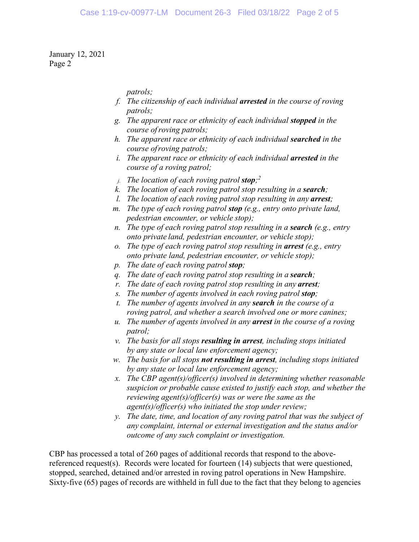*patrols;*

- *f. The citizenship of each individual arrested in the course of roving patrols;*
- *g. The apparent race or ethnicity of each individual stopped in the course ofroving patrols;*
- *h. The apparent race or ethnicity of each individual searched in the course ofroving patrols;*
- *i.* The apparent race or ethnicity of each individual **arrested** in the *course of a roving patrol;*
- *j. The location of each roving patrol stop; 2*
- *k. The location of each roving patrol stop resulting in a search;*
- *l. The location of each roving patrol stop resulting in any arrest;*
- *m. The type of each roving patrol stop (e.g., entry onto private land, pedestrian encounter, or vehicle stop);*
- *n. The type of each roving patrol stop resulting in a <i>search* (e.g., entry *onto private land, pedestrian encounter, or vehicle stop);*
- *o. The type of each roving patrol stop resulting in arrest (e.g., entry onto private land, pedestrian encounter, or vehicle stop);*
- *p. The date of each roving patrol stop;*
- *q. The date of each roving patrol stop resulting in a search;*
- *r. The date of each roving patrol stop resulting in any arrest;*
- *s. The number of agents involved in each roving patrol stop;*
- *t. The number of agents involved in any search in the course of a roving patrol, and whether a search involved one or more canines;*
- *u. The number of agents involved in any arrest in the course of a roving patrol;*
- *v. The basis for all stops resulting in arrest, including stops initiated by any state or local law enforcement agency;*
- *w. The basis for all stops not resulting in arrest, including stops initiated by any state or local law enforcement agency;*
- *x. The CBP agent(s)/officer(s) involved in determining whether reasonable suspicion or probable cause existed to justify each stop, and whether the reviewing agent(s)/officer(s) was or were the same as the agent(s)/officer(s) who initiated the stop under review;*
- *y. The date, time, and location of any roving patrol that was the subject of any complaint, internal or external investigation and the status and/or outcome of any such complaint or investigation.*

CBP has processed a total of 260 pages of additional records that respond to the abovereferenced request(s). Records were located for fourteen (14) subjects that were questioned, stopped, searched, detained and/or arrested in roving patrol operations in New Hampshire. Sixty-five (65) pages of records are withheld in full due to the fact that they belong to agencies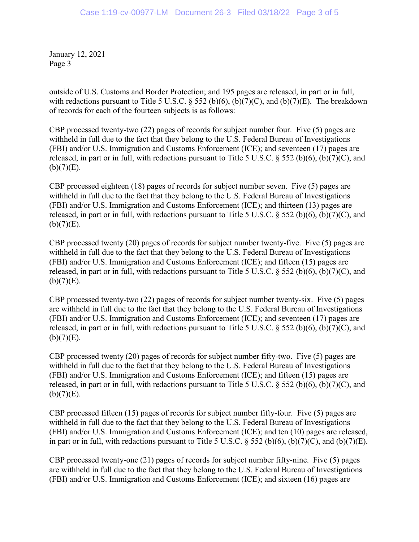outside of U.S. Customs and Border Protection; and 195 pages are released, in part or in full, with redactions pursuant to Title 5 U.S.C. § 552 (b)(6), (b)(7)(C), and (b)(7)(E). The breakdown of records for each of the fourteen subjects is as follows:

CBP processed twenty-two (22) pages of records for subject number four. Five (5) pages are withheld in full due to the fact that they belong to the U.S. Federal Bureau of Investigations (FBI) and/or U.S. Immigration and Customs Enforcement (ICE); and seventeen (17) pages are released, in part or in full, with redactions pursuant to Title 5 U.S.C. § 552 (b)(6), (b)(7)(C), and  $(b)(7)(E)$ .

CBP processed eighteen (18) pages of records for subject number seven. Five (5) pages are withheld in full due to the fact that they belong to the U.S. Federal Bureau of Investigations (FBI) and/or U.S. Immigration and Customs Enforcement (ICE); and thirteen (13) pages are released, in part or in full, with redactions pursuant to Title 5 U.S.C. § 552 (b)(6), (b)(7)(C), and  $(b)(7)(E)$ .

CBP processed twenty (20) pages of records for subject number twenty-five. Five (5) pages are withheld in full due to the fact that they belong to the U.S. Federal Bureau of Investigations (FBI) and/or U.S. Immigration and Customs Enforcement (ICE); and fifteen (15) pages are released, in part or in full, with redactions pursuant to Title 5 U.S.C.  $\S$  552 (b)(6), (b)(7)(C), and  $(b)(7)(E)$ .

CBP processed twenty-two (22) pages of records for subject number twenty-six. Five (5) pages are withheld in full due to the fact that they belong to the U.S. Federal Bureau of Investigations (FBI) and/or U.S. Immigration and Customs Enforcement (ICE); and seventeen (17) pages are released, in part or in full, with redactions pursuant to Title 5 U.S.C.  $\S$  552 (b)(6), (b)(7)(C), and  $(b)(7)(E)$ .

CBP processed twenty (20) pages of records for subject number fifty-two. Five (5) pages are withheld in full due to the fact that they belong to the U.S. Federal Bureau of Investigations (FBI) and/or U.S. Immigration and Customs Enforcement (ICE); and fifteen (15) pages are released, in part or in full, with redactions pursuant to Title 5 U.S.C.  $\frac{2552 \text{ (b)(6)}}{1000 \text{ (b)(7)}}$  and  $(b)(7)(E)$ .

CBP processed fifteen (15) pages of records for subject number fifty-four. Five (5) pages are withheld in full due to the fact that they belong to the U.S. Federal Bureau of Investigations (FBI) and/or U.S. Immigration and Customs Enforcement (ICE); and ten (10) pages are released, in part or in full, with redactions pursuant to Title 5 U.S.C.  $\S$  552 (b)(6), (b)(7)(C), and (b)(7)(E).

CBP processed twenty-one (21) pages of records for subject number fifty-nine. Five (5) pages are withheld in full due to the fact that they belong to the U.S. Federal Bureau of Investigations (FBI) and/or U.S. Immigration and Customs Enforcement (ICE); and sixteen (16) pages are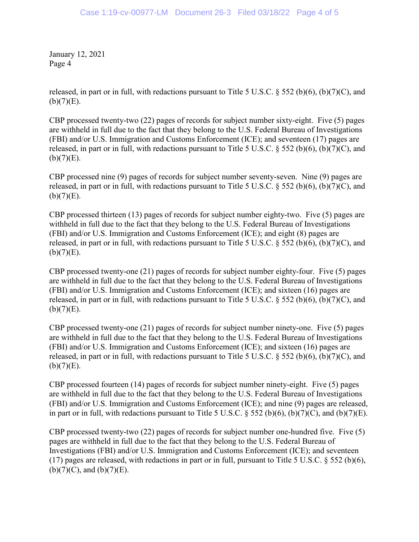released, in part or in full, with redactions pursuant to Title 5 U.S.C.  $\S$  552 (b)(6), (b)(7)(C), and  $(b)(7)(E)$ .

CBP processed twenty-two (22) pages of records for subject number sixty-eight. Five (5) pages are withheld in full due to the fact that they belong to the U.S. Federal Bureau of Investigations (FBI) and/or U.S. Immigration and Customs Enforcement (ICE); and seventeen (17) pages are released, in part or in full, with redactions pursuant to Title 5 U.S.C.  $\S$  552 (b)(6), (b)(7)(C), and  $(b)(7)(E)$ .

CBP processed nine (9) pages of records for subject number seventy-seven. Nine (9) pages are released, in part or in full, with redactions pursuant to Title 5 U.S.C. § 552 (b)(6), (b)(7)(C), and  $(b)(7)(E)$ .

CBP processed thirteen (13) pages of records for subject number eighty-two. Five (5) pages are withheld in full due to the fact that they belong to the U.S. Federal Bureau of Investigations (FBI) and/or U.S. Immigration and Customs Enforcement (ICE); and eight (8) pages are released, in part or in full, with redactions pursuant to Title 5 U.S.C.  $\S$  552 (b)(6), (b)(7)(C), and  $(b)(7)(E)$ .

CBP processed twenty-one (21) pages of records for subject number eighty-four. Five (5) pages are withheld in full due to the fact that they belong to the U.S. Federal Bureau of Investigations (FBI) and/or U.S. Immigration and Customs Enforcement (ICE); and sixteen (16) pages are released, in part or in full, with redactions pursuant to Title 5 U.S.C. § 552 (b)(6), (b)(7)(C), and  $(b)(7)(E)$ .

CBP processed twenty-one (21) pages of records for subject number ninety-one. Five (5) pages are withheld in full due to the fact that they belong to the U.S. Federal Bureau of Investigations (FBI) and/or U.S. Immigration and Customs Enforcement (ICE); and sixteen (16) pages are released, in part or in full, with redactions pursuant to Title 5 U.S.C.  $\S$  552 (b)(6), (b)(7)(C), and  $(b)(7)(E)$ .

CBP processed fourteen (14) pages of records for subject number ninety-eight. Five (5) pages are withheld in full due to the fact that they belong to the U.S. Federal Bureau of Investigations (FBI) and/or U.S. Immigration and Customs Enforcement (ICE); and nine (9) pages are released, in part or in full, with redactions pursuant to Title 5 U.S.C.  $\S$  552 (b)(6), (b)(7)(C), and (b)(7)(E).

CBP processed twenty-two (22) pages of records for subject number one-hundred five. Five (5) pages are withheld in full due to the fact that they belong to the U.S. Federal Bureau of Investigations (FBI) and/or U.S. Immigration and Customs Enforcement (ICE); and seventeen (17) pages are released, with redactions in part or in full, pursuant to Title 5 U.S.C. § 552 (b)(6),  $(b)(7)(C)$ , and  $(b)(7)(E)$ .